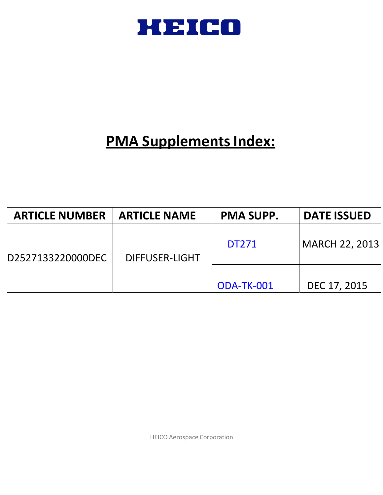

# **PMA Supplements Index:**

| <b>ARTICLE NUMBER</b> | <b>ARTICLE NAME</b> | <b>PMA SUPP.</b> | <b>DATE ISSUED</b> |
|-----------------------|---------------------|------------------|--------------------|
| D2527133220000DEC     | DIFFUSER-LIGHT      | <b>DT271</b>     | MARCH 22, 2013     |
|                       |                     | ODA-TK-001       | DEC 17, 2015       |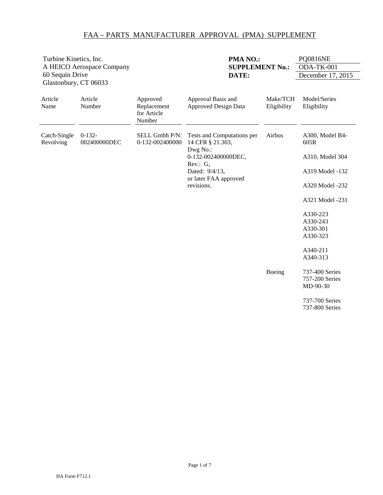| Turbine Kinetics, Inc.<br>60 Sequin Drive | A HEICO Aerospace Company | PMA NO.:<br><b>SUPPLEMENT No.:</b><br>DATE:      |                                                                                                                                                        |                         | <b>PQ0816NE</b><br>ODA-TK-001<br>December 17, 2015                                                                                                                          |
|-------------------------------------------|---------------------------|--------------------------------------------------|--------------------------------------------------------------------------------------------------------------------------------------------------------|-------------------------|-----------------------------------------------------------------------------------------------------------------------------------------------------------------------------|
| Glastonbury, CT 06033<br>Article<br>Name  | Article<br>Number         | Approved<br>Replacement<br>for Article<br>Number | Approval Basis and<br><b>Approved Design Data</b>                                                                                                      | Make/TCH<br>Eligibility | Model/Series<br>Eligibility                                                                                                                                                 |
| Catch-Single<br>Revolving                 | $0-132-$<br>002400000DEC  | SELL Gmbh P/N:<br>0-132-002400000                | Tests and Computations per<br>14 CFR § 21.303,<br>Dwg No.:<br>0-132-002400000DEC,<br>Rev.: G,<br>Dated: 9/4/13,<br>or later FAA approved<br>revisions. | Airbus                  | A300, Model B4-<br>605R<br>A310, Model 304<br>A319 Model -132<br>A320 Model -232<br>A321 Model -231<br>A330-223<br>A330-243<br>A330-301<br>A330-323<br>A340-211<br>A340-313 |
|                                           |                           |                                                  |                                                                                                                                                        | Boeing                  | 737-400 Series<br>757-200 Series<br>MD-90-30<br>737-700 Series<br>737-800 Series                                                                                            |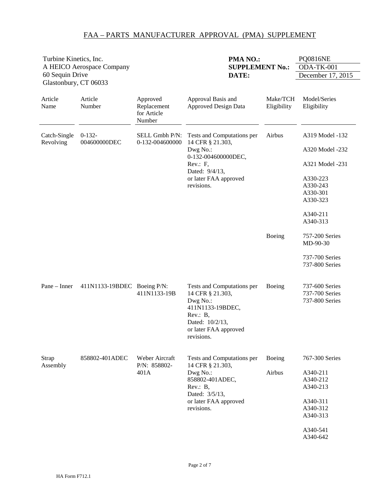| Turbine Kinetics, Inc.<br>A HEICO Aerospace Company<br>60 Sequin Drive<br>Glastonbury, CT 06033 |                          |                                                  | PMA NO.:<br><b>SUPPLEMENT No.:</b><br>DATE:                                                                                                            |                         | <b>PQ0816NE</b><br>ODA-TK-001<br>December 17, 2015                                                                            |
|-------------------------------------------------------------------------------------------------|--------------------------|--------------------------------------------------|--------------------------------------------------------------------------------------------------------------------------------------------------------|-------------------------|-------------------------------------------------------------------------------------------------------------------------------|
| Article<br>Name                                                                                 | Article<br>Number        | Approved<br>Replacement<br>for Article<br>Number | Approval Basis and<br><b>Approved Design Data</b>                                                                                                      | Make/TCH<br>Eligibility | Model/Series<br>Eligibility                                                                                                   |
| Catch-Single<br>Revolving                                                                       | $0-132-$<br>004600000DEC | SELL Gmbh P/N:<br>0-132-004600000                | Tests and Computations per<br>14 CFR § 21.303,<br>Dwg No.:<br>0-132-004600000DEC,<br>Rev.: F,<br>Dated: 9/4/13,<br>or later FAA approved<br>revisions. | Airbus                  | A319 Model -132<br>A320 Model -232<br>A321 Model -231<br>A330-223<br>A330-243<br>A330-301<br>A330-323<br>A340-211<br>A340-313 |
|                                                                                                 |                          |                                                  |                                                                                                                                                        | Boeing                  | 757-200 Series<br>MD-90-30<br>737-700 Series<br>737-800 Series                                                                |
| Pane - Inner                                                                                    | 411N1133-19BDEC          | Boeing P/N:<br>411N1133-19B                      | Tests and Computations per<br>14 CFR § 21.303,<br>Dwg No.:<br>411N1133-19BDEC,<br>Rev.: B,<br>Dated: 10/2/13,<br>or later FAA approved<br>revisions.   | Boeing                  | 737-600 Series<br>737-700 Series<br>737-800 Series                                                                            |
| Strap<br>Assembly                                                                               | 858802-401ADEC           | Weber Aircraft<br>P/N: 858802-<br>401A           | Tests and Computations per<br>14 CFR § 21.303,<br>Dwg No.:<br>858802-401ADEC,<br>Rev.: B,<br>Dated: 3/5/13,<br>or later FAA approved<br>revisions.     | Boeing<br>Airbus        | 767-300 Series<br>A340-211<br>A340-212<br>A340-213<br>A340-311<br>A340-312<br>A340-313<br>A340-541<br>A340-642                |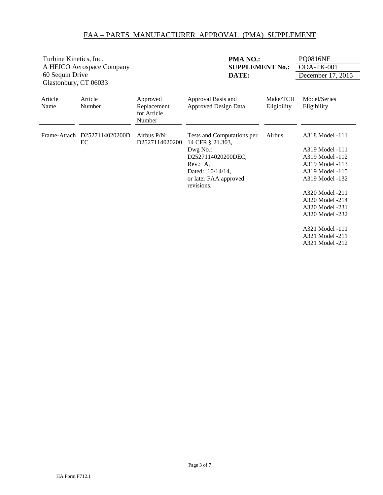| Turbine Kinetics, Inc.                              |                                    |                                      | PMA NO.:                                       |             | <b>PQ0816NE</b>   |
|-----------------------------------------------------|------------------------------------|--------------------------------------|------------------------------------------------|-------------|-------------------|
| A HEICO Aerospace Company<br><b>SUPPLEMENT No.:</b> |                                    |                                      | ODA-TK-001                                     |             |                   |
| 60 Sequin Drive                                     |                                    |                                      | DATE:                                          |             | December 17, 2015 |
| Glastonbury, CT 06033                               |                                    |                                      |                                                |             |                   |
| Article                                             | Article                            | Approved                             | Approval Basis and                             | Make/TCH    | Model/Series      |
| Name                                                | Number                             | Replacement<br>for Article<br>Number | <b>Approved Design Data</b>                    | Eligibility | Eligibility       |
|                                                     | Frame-Attach D2527114020200D<br>EC | Airbus P/N:<br>D2527114020200        | Tests and Computations per<br>14 CFR § 21.303, | Airbus      | A318 Model -111   |
|                                                     |                                    |                                      | Dwg No.:                                       |             | A319 Model -111   |
|                                                     |                                    |                                      | D2527114020200DEC,                             |             | A319 Model -112   |
|                                                     |                                    |                                      | Rev.: A,                                       |             | A319 Model -113   |
|                                                     |                                    |                                      | Dated: $10/14/14$ ,                            |             | A319 Model -115   |
|                                                     |                                    |                                      | or later FAA approved<br>revisions.            |             | A319 Model -132   |
|                                                     |                                    |                                      |                                                |             | A320 Model -211   |
|                                                     |                                    |                                      |                                                |             | A320 Model -214   |
|                                                     |                                    |                                      |                                                |             | A320 Model -231   |
|                                                     |                                    |                                      |                                                |             | A320 Model -232   |
|                                                     |                                    |                                      |                                                |             | A321 Model -111   |
|                                                     |                                    |                                      |                                                |             | A321 Model -211   |
|                                                     |                                    |                                      |                                                |             | A321 Model -212   |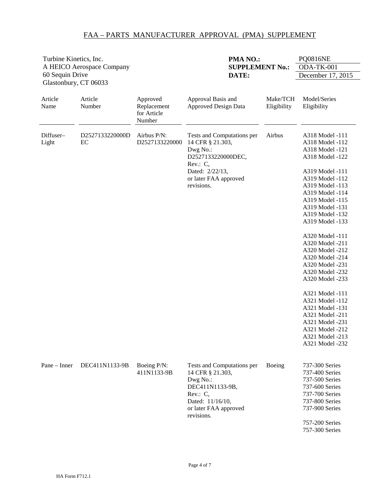<span id="page-4-0"></span>

| Turbine Kinetics, Inc.<br>A HEICO Aerospace Company |                       |                                                  | PMA NO.:<br><b>SUPPLEMENT No.:</b>                                                                                                                     |                         | <b>PQ0816NE</b><br>ODA-TK-001                                                                                                                                                                                                                                                                                                                                                                                                                                                                                                 |
|-----------------------------------------------------|-----------------------|--------------------------------------------------|--------------------------------------------------------------------------------------------------------------------------------------------------------|-------------------------|-------------------------------------------------------------------------------------------------------------------------------------------------------------------------------------------------------------------------------------------------------------------------------------------------------------------------------------------------------------------------------------------------------------------------------------------------------------------------------------------------------------------------------|
| 60 Sequin Drive<br>Glastonbury, CT 06033            |                       |                                                  | DATE:                                                                                                                                                  |                         | December 17, 2015                                                                                                                                                                                                                                                                                                                                                                                                                                                                                                             |
| Article<br>Name                                     | Article<br>Number     | Approved<br>Replacement<br>for Article<br>Number | Approval Basis and<br><b>Approved Design Data</b>                                                                                                      | Make/TCH<br>Eligibility | Model/Series<br>Eligibility                                                                                                                                                                                                                                                                                                                                                                                                                                                                                                   |
| Diffuser-<br>Light                                  | D2527133220000D<br>EC | Airbus P/N:<br>D2527133220000                    | Tests and Computations per<br>14 CFR § 21.303,<br>Dwg No.:<br>D2527133220000DEC,<br>Rev.: C,<br>Dated: 2/22/13,<br>or later FAA approved<br>revisions. | Airbus                  | A318 Model -111<br>A318 Model -112<br>A318 Model -121<br>A318 Model -122<br>A319 Model -111<br>A319 Model -112<br>A319 Model -113<br>A319 Model -114<br>A319 Model -115<br>A319 Model -131<br>A319 Model -132<br>A319 Model -133<br>A320 Model -111<br>A320 Model -211<br>A320 Model -212<br>A320 Model -214<br>A320 Model -231<br>A320 Model -232<br>A320 Model -233<br>A321 Model -111<br>A321 Model -112<br>A321 Model -131<br>A321 Model -211<br>A321 Model -231<br>A321 Model -212<br>A321 Model -213<br>A321 Model -232 |
| $Pane - Inner$                                      | DEC411N1133-9B        | Boeing P/N:<br>411N1133-9B                       | Tests and Computations per<br>14 CFR § 21.303,<br>Dwg No.:<br>DEC411N1133-9B,<br>Rev.: C,<br>Dated: 11/16/10,<br>or later FAA approved<br>revisions.   | Boeing                  | 737-300 Series<br>737-400 Series<br>737-500 Series<br>737-600 Series<br>737-700 Series<br>737-800 Series<br>737-900 Series<br>757-200 Series<br>757-300 Series                                                                                                                                                                                                                                                                                                                                                                |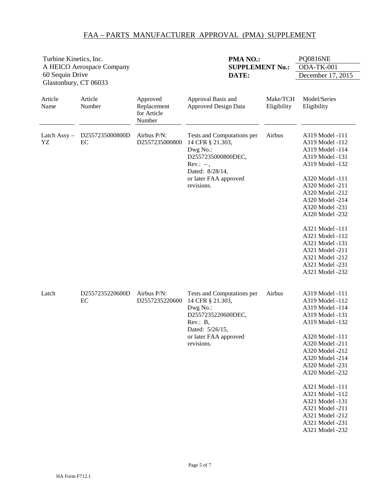| Turbine Kinetics, Inc. |                           |                                                  | PMA NO.:                                                                                                                                                 |                         | <b>PQ0816NE</b>                                                                                                                                                                                                                                                                                                                                    |
|------------------------|---------------------------|--------------------------------------------------|----------------------------------------------------------------------------------------------------------------------------------------------------------|-------------------------|----------------------------------------------------------------------------------------------------------------------------------------------------------------------------------------------------------------------------------------------------------------------------------------------------------------------------------------------------|
| 60 Sequin Drive        | A HEICO Aerospace Company |                                                  | <b>SUPPLEMENT No.:</b><br>DATE:                                                                                                                          |                         | ODA-TK-001<br>December 17, 2015                                                                                                                                                                                                                                                                                                                    |
| Glastonbury, CT 06033  |                           |                                                  |                                                                                                                                                          |                         |                                                                                                                                                                                                                                                                                                                                                    |
| Article<br>Name        | Article<br>Number         | Approved<br>Replacement<br>for Article<br>Number | Approval Basis and<br><b>Approved Design Data</b>                                                                                                        | Make/TCH<br>Eligibility | Model/Series<br>Eligibility                                                                                                                                                                                                                                                                                                                        |
| Latch Assy-<br>YZ      | D2557235000800D<br>EC     | Airbus P/N:<br>D2557235000800                    | Tests and Computations per<br>14 CFR § 21.303,<br>Dwg No.:<br>D2557235000800DEC,<br>$Rev: -$ ,<br>Dated: 8/28/14,<br>or later FAA approved<br>revisions. | Airbus                  | A319 Model -111<br>A319 Model -112<br>A319 Model -114<br>A319 Model -131<br>A319 Model -132<br>A320 Model -111<br>A320 Model -211<br>A320 Model -212<br>A320 Model -214<br>A320 Model -231<br>A320 Model -232<br>A321 Model -111<br>A321 Model -112<br>A321 Model -131<br>A321 Model -211<br>A321 Model -212<br>A321 Model -231<br>A321 Model -232 |
| Latch                  | D2557235220600D<br>EC     | Airbus P/N:<br>D2557235220600                    | Tests and Computations per<br>14 CFR § 21.303,<br>Dwg No.:<br>D2557235220600DEC,<br>Rev.: B,<br>Dated: 5/26/15,<br>or later FAA approved<br>revisions.   | Airbus                  | A319 Model -111<br>A319 Model -112<br>A319 Model -114<br>A319 Model -131<br>A319 Model -132<br>A320 Model -111<br>A320 Model -211<br>A320 Model -212<br>A320 Model -214<br>A320 Model -231<br>A320 Model -232<br>A321 Model -111<br>A321 Model -112<br>A321 Model -131<br>A321 Model -211<br>A321 Model -212<br>A321 Model -231<br>A321 Model -232 |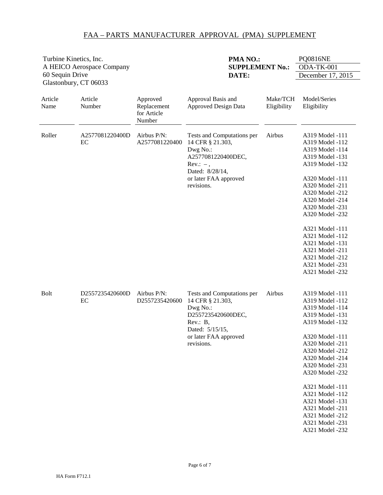| Turbine Kinetics, Inc.                   |                           |                                                  | PMA NO.:                                                                                                                                                  |                         | <b>PQ0816NE</b>                                                                                                                                                                                                                                                                                                                                    |
|------------------------------------------|---------------------------|--------------------------------------------------|-----------------------------------------------------------------------------------------------------------------------------------------------------------|-------------------------|----------------------------------------------------------------------------------------------------------------------------------------------------------------------------------------------------------------------------------------------------------------------------------------------------------------------------------------------------|
|                                          | A HEICO Aerospace Company |                                                  | <b>SUPPLEMENT No.:</b>                                                                                                                                    |                         | ODA-TK-001                                                                                                                                                                                                                                                                                                                                         |
| 60 Sequin Drive<br>Glastonbury, CT 06033 |                           |                                                  | DATE:                                                                                                                                                     |                         | December 17, 2015                                                                                                                                                                                                                                                                                                                                  |
| Article<br>Name                          | Article<br>Number         | Approved<br>Replacement<br>for Article<br>Number | Approval Basis and<br><b>Approved Design Data</b>                                                                                                         | Make/TCH<br>Eligibility | Model/Series<br>Eligibility                                                                                                                                                                                                                                                                                                                        |
| Roller                                   | A2577081220400D<br>EC     | Airbus P/N:<br>A2577081220400                    | Tests and Computations per<br>14 CFR § 21.303,<br>Dwg No.:<br>A2577081220400DEC,<br>$Rev.: -$ ,<br>Dated: 8/28/14,<br>or later FAA approved<br>revisions. | Airbus                  | A319 Model -111<br>A319 Model -112<br>A319 Model -114<br>A319 Model -131<br>A319 Model -132<br>A320 Model -111<br>A320 Model -211<br>A320 Model -212<br>A320 Model -214<br>A320 Model -231<br>A320 Model -232<br>A321 Model -111<br>A321 Model -112<br>A321 Model -131<br>A321 Model -211<br>A321 Model -212<br>A321 Model -231<br>A321 Model -232 |
| <b>Bolt</b>                              | D2557235420600D<br>EC     | Airbus P/N:<br>D2557235420600                    | Tests and Computations per<br>14 CFR § 21.303,<br>Dwg No.:<br>D2557235420600DEC,<br>Rev.: B,<br>Dated: 5/15/15,<br>or later FAA approved<br>revisions.    | Airbus                  | A319 Model -111<br>A319 Model -112<br>A319 Model -114<br>A319 Model -131<br>A319 Model -132<br>A320 Model -111<br>A320 Model -211<br>A320 Model -212<br>A320 Model -214<br>A320 Model -231<br>A320 Model -232<br>A321 Model -111<br>A321 Model -112<br>A321 Model -131<br>A321 Model -211<br>A321 Model -212<br>A321 Model -231<br>A321 Model -232 |

HA Form F712.1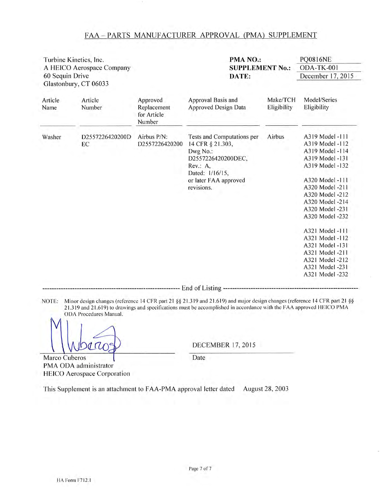| Turbine Kinetics, Inc.<br>A HEICO Aerospace Company<br>60 Sequin Drive<br>Glastonbury, CT 06033 |                       |                                                  | PMA NO.:                                                                                                                                               |                         |                                                                                                                                                                                                                                                                                                                                 |
|-------------------------------------------------------------------------------------------------|-----------------------|--------------------------------------------------|--------------------------------------------------------------------------------------------------------------------------------------------------------|-------------------------|---------------------------------------------------------------------------------------------------------------------------------------------------------------------------------------------------------------------------------------------------------------------------------------------------------------------------------|
|                                                                                                 |                       |                                                  | <b>SUPPLEMENT No.:</b><br>DATE:                                                                                                                        |                         | ODA-TK-001<br>December 17, 2015                                                                                                                                                                                                                                                                                                 |
| Article<br>Name                                                                                 | Article<br>Number     | Approved<br>Replacement<br>for Article<br>Number | Approval Basis and<br>Approved Design Data                                                                                                             | Make/TCH<br>Eligibility | Model/Series<br>Eligibility                                                                                                                                                                                                                                                                                                     |
| Washer                                                                                          | D2557226420200D<br>EC | Airbus P/N:<br>D2557226420200                    | Tests and Computations per<br>14 CFR § 21.303,<br>Dwg No.:<br>D2557226420200DEC,<br>Rev.: A,<br>Dated: 1/16/15,<br>or later FAA approved<br>revisions. | Airbus                  | A319 Model -111<br>A319 Model -112<br>A319 Model -114<br>A319 Model -131<br>A319 Model -132<br>A320 Model -111<br>A320 Model -211<br>A320 Model -212<br>A320 Model -214<br>A320 Model -231<br>A320 Model -232<br>A321 Model -111<br>A321 Model -112<br>A321 Model -131<br>A321 Model -211<br>A321 Model -212<br>A321 Model -231 |
|                                                                                                 |                       |                                                  |                                                                                                                                                        |                         | A321 Model -232                                                                                                                                                                                                                                                                                                                 |

NOTE: Minor design changes (reference 14 CFR part 21 §§ 21.319 and 21.619) and major design changes (reference 14 CFR part 21 §§ 21.319 and 21.619) to drawings and specifications must be accomplished in accordance with the FAA approved HEICO PMA ODA Procedures Manual.

 $QUO$ 

**DECEMBER 17, 2015** 

Marco Cuberos PMA ODA administrator HEICO Aerospace Corporation Date

This Supplement is an attachment to FAA-PMA approval letter dated August 28, 2003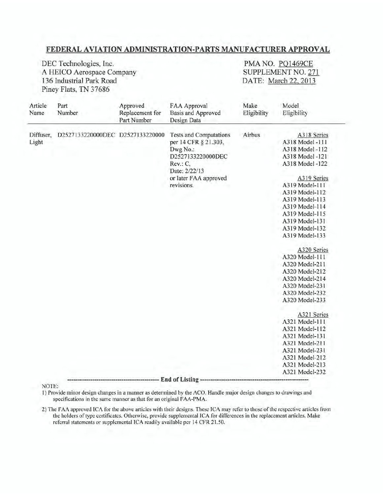#### FEDERAL AVIATION ADMINISTRATION-PARTS MANUFACTURER APPROVAL

DEC Technologies, Inc. A HEICO Aerospace Company 136 Industrial Park Road Piney Flats, TN 37686

PMA NO. PQ1469CE SUPPLEMENT NO. 271 DATE: March 22, 2013

| Article<br>Name    | Part<br>Number                   | Approved<br>Replacement for<br>Part Number | FAA Approval<br>Basis and Approved<br>Design Data                                                                                                          | Make<br>Eligibility | Model<br>Eligibility                                                                                                                                                                                                                                                                                                                                                                                                                                                                                                                             |
|--------------------|----------------------------------|--------------------------------------------|------------------------------------------------------------------------------------------------------------------------------------------------------------|---------------------|--------------------------------------------------------------------------------------------------------------------------------------------------------------------------------------------------------------------------------------------------------------------------------------------------------------------------------------------------------------------------------------------------------------------------------------------------------------------------------------------------------------------------------------------------|
| Diffuser,<br>Light | D2527133220000DEC D2527133220000 |                                            | <b>Tests and Computations</b><br>per 14 CFR § 21.303,<br>Dwg No.:<br>D2527133220000DEC<br>Rev.: C.<br>Date: 2/22/13<br>or later FAA approved<br>revisions. | Airbus              | A318 Series<br>A318 Model -111<br>A318 Model -112<br>A318 Model -121<br>A318 Model -122<br>A319 Series<br>A319 Model-111<br>A319 Model-112<br>A319 Model-113<br>A319 Model-114<br>A319 Model-115<br>A319 Model-131<br>A319 Model-132<br>A319 Model-133<br>A320 Series<br>A320 Model-111<br>A320 Model-211<br>A320 Model-212<br>A320 Model-214<br>A320 Model-231<br>A320 Model-232<br>A320 Model-233<br>A321 Series<br>A321 Model-111<br>A321 Model-112<br>A321 Model-131<br>A321 Model-211<br>A321 Model-231<br>A321 Model-212<br>A321 Model-213 |
|                    |                                  |                                            | End of Listing ----                                                                                                                                        |                     | A321 Model-232                                                                                                                                                                                                                                                                                                                                                                                                                                                                                                                                   |

NOTE:

1) Provide minor design changes in a manner as determined by the ACO. Handle major design changes to drawings and specifications in the same manner as that for an original FAA-PMA.

2) The FAA approved ICA for the above articles with their designs. These ICA may refer to those of the respective articles from the holders of type certificates. Otherwise, provide supplemental ICA for differences in the replacement articles. Make referral statements or supplemental ICA readily available per 14 CFR 21.50.